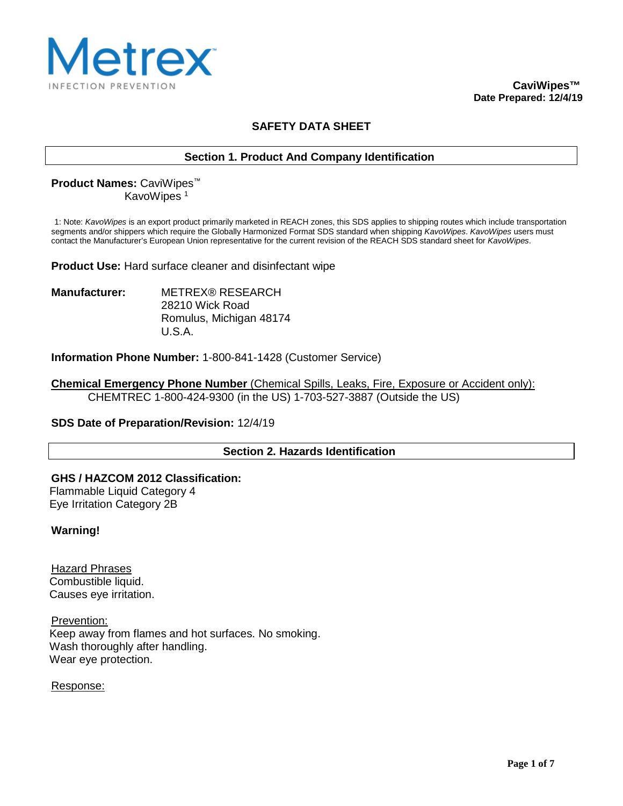

# **SAFETY DATA SHEET**

### **Section 1. Product And Company Identification**

# **Product Names:** CaviWipes™ KavoWipes<sup>1</sup>

1: Note: *KavoWipes* is an export product primarily marketed in REACH zones, this SDS applies to shipping routes which include transportation segments and/or shippers which require the Globally Harmonized Format SDS standard when shipping *KavoWipes*. *KavoWipes* users must contact the Manufacturer's European Union representative for the current revision of the REACH SDS standard sheet for *KavoWipes*.

**Product Use:** Hard surface cleaner and disinfectant wipe

**Manufacturer:** METREX® RESEARCH 28210 Wick Road Romulus, Michigan 48174 U.S.A.

**Information Phone Number:** 1-800-841-1428 (Customer Service)

**Chemical Emergency Phone Number** (Chemical Spills, Leaks, Fire, Exposure or Accident only): CHEMTREC 1-800-424-9300 (in the US) 1-703-527-3887 (Outside the US)

**SDS Date of Preparation/Revision:** 12/4/19

**Section 2. Hazards Identification**

**GHS / HAZCOM 2012 Classification:** Flammable Liquid Category 4 Eye Irritation Category 2B

**Warning!**

Hazard Phrases Combustible liquid. Causes eye irritation.

Prevention: Keep away from flames and hot surfaces. No smoking. Wash thoroughly after handling. Wear eye protection.

Response: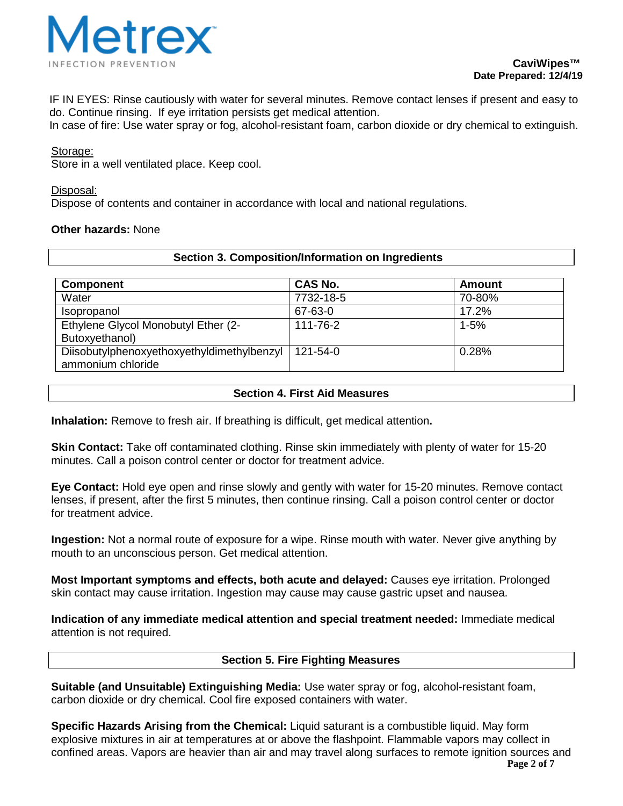

IF IN EYES: Rinse cautiously with water for several minutes. Remove contact lenses if present and easy to do. Continue rinsing. If eye irritation persists get medical attention.

In case of fire: Use water spray or fog, alcohol-resistant foam, carbon dioxide or dry chemical to extinguish.

#### Storage:

Store in a well ventilated place. Keep cool.

#### Disposal:

Dispose of contents and container in accordance with local and national regulations.

### **Other hazards:** None

| <b>Component</b>                                                | <b>CAS No.</b> | Amount   |
|-----------------------------------------------------------------|----------------|----------|
| Water                                                           | 7732-18-5      | 70-80%   |
| Isopropanol                                                     | 67-63-0        | 17.2%    |
| Ethylene Glycol Monobutyl Ether (2-<br>Butoxyethanol)           | 111-76-2       | $1 - 5%$ |
| Diisobutylphenoxyethoxyethyldimethylbenzyl<br>ammonium chloride | 121-54-0       | 0.28%    |

**Section 3. Composition/Information on Ingredients**

### **Section 4. First Aid Measures**

**Inhalation:** Remove to fresh air. If breathing is difficult, get medical attention**.**

**Skin Contact:** Take off contaminated clothing. Rinse skin immediately with plenty of water for 15-20 minutes. Call a poison control center or doctor for treatment advice.

**Eye Contact:** Hold eye open and rinse slowly and gently with water for 15-20 minutes. Remove contact lenses, if present, after the first 5 minutes, then continue rinsing. Call a poison control center or doctor for treatment advice.

**Ingestion:** Not a normal route of exposure for a wipe. Rinse mouth with water. Never give anything by mouth to an unconscious person. Get medical attention.

**Most Important symptoms and effects, both acute and delayed:** Causes eye irritation. Prolonged skin contact may cause irritation. Ingestion may cause may cause gastric upset and nausea.

**Indication of any immediate medical attention and special treatment needed:** Immediate medical attention is not required.

### **Section 5. Fire Fighting Measures**

**Suitable (and Unsuitable) Extinguishing Media:** Use water spray or fog, alcohol-resistant foam, carbon dioxide or dry chemical. Cool fire exposed containers with water.

**Page 2 of 7 Specific Hazards Arising from the Chemical:** Liquid saturant is a combustible liquid. May form explosive mixtures in air at temperatures at or above the flashpoint. Flammable vapors may collect in confined areas. Vapors are heavier than air and may travel along surfaces to remote ignition sources and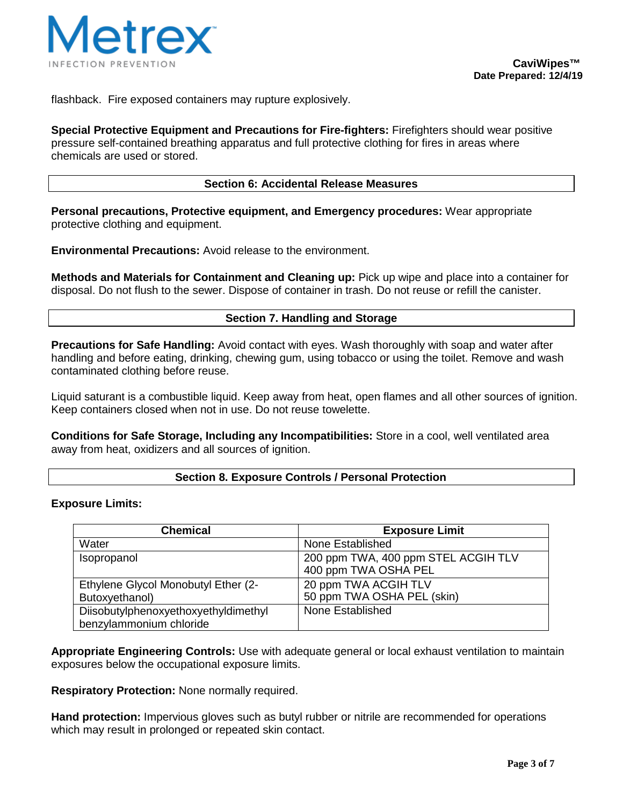

flashback. Fire exposed containers may rupture explosively.

**Special Protective Equipment and Precautions for Fire-fighters:** Firefighters should wear positive pressure self-contained breathing apparatus and full protective clothing for fires in areas where chemicals are used or stored.

#### **Section 6: Accidental Release Measures**

**Personal precautions, Protective equipment, and Emergency procedures:** Wear appropriate protective clothing and equipment.

**Environmental Precautions:** Avoid release to the environment.

**Methods and Materials for Containment and Cleaning up:** Pick up wipe and place into a container for disposal. Do not flush to the sewer. Dispose of container in trash. Do not reuse or refill the canister.

#### **Section 7. Handling and Storage**

**Precautions for Safe Handling:** Avoid contact with eyes. Wash thoroughly with soap and water after handling and before eating, drinking, chewing gum, using tobacco or using the toilet. Remove and wash contaminated clothing before reuse.

Liquid saturant is a combustible liquid. Keep away from heat, open flames and all other sources of ignition. Keep containers closed when not in use. Do not reuse towelette.

**Conditions for Safe Storage, Including any Incompatibilities:** Store in a cool, well ventilated area away from heat, oxidizers and all sources of ignition.

### **Section 8. Exposure Controls / Personal Protection**

#### **Exposure Limits:**

| <b>Chemical</b>                                                 | <b>Exposure Limit</b>                                       |
|-----------------------------------------------------------------|-------------------------------------------------------------|
| Water                                                           | None Established                                            |
| Isopropanol                                                     | 200 ppm TWA, 400 ppm STEL ACGIH TLV<br>400 ppm TWA OSHA PEL |
| Ethylene Glycol Monobutyl Ether (2-<br>Butoxyethanol)           | 20 ppm TWA ACGIH TLV<br>50 ppm TWA OSHA PEL (skin)          |
| Diisobutylphenoxyethoxyethyldimethyl<br>benzylammonium chloride | None Established                                            |

**Appropriate Engineering Controls:** Use with adequate general or local exhaust ventilation to maintain exposures below the occupational exposure limits.

**Respiratory Protection:** None normally required.

**Hand protection:** Impervious gloves such as butyl rubber or nitrile are recommended for operations which may result in prolonged or repeated skin contact.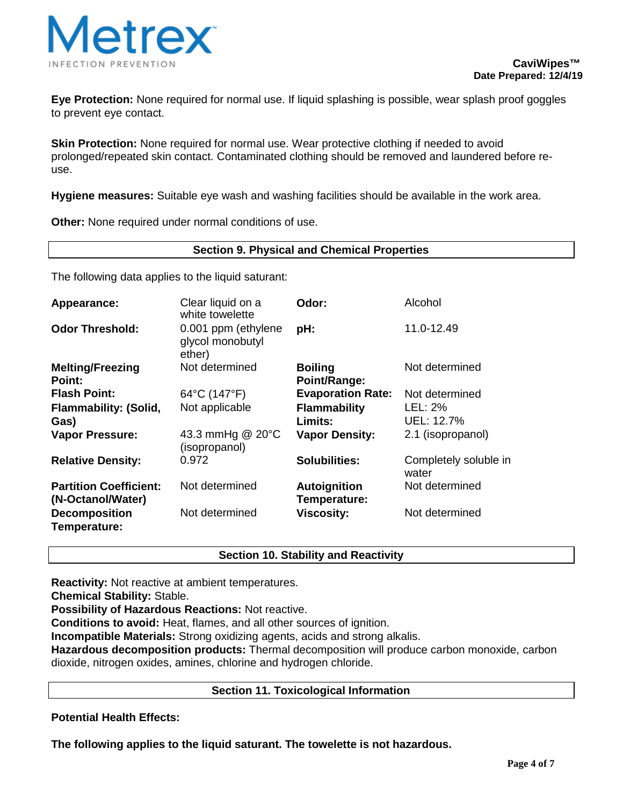

**Eye Protection:** None required for normal use. If liquid splashing is possible, wear splash proof goggles to prevent eye contact.

**Skin Protection:** None required for normal use. Wear protective clothing if needed to avoid prolonged/repeated skin contact. Contaminated clothing should be removed and laundered before reuse.

**Hygiene measures:** Suitable eye wash and washing facilities should be available in the work area.

**Other:** None required under normal conditions of use.

### **Section 9. Physical and Chemical Properties**

The following data applies to the liquid saturant:

| Appearance:                                        | Clear liquid on a<br>white towelette              | Odor:                          | Alcohol                        |
|----------------------------------------------------|---------------------------------------------------|--------------------------------|--------------------------------|
| <b>Odor Threshold:</b>                             | 0.001 ppm (ethylene<br>glycol monobutyl<br>ether) | pH:                            | 11.0-12.49                     |
| <b>Melting/Freezing</b><br><b>Point:</b>           | Not determined                                    | <b>Boiling</b><br>Point/Range: | Not determined                 |
| <b>Flash Point:</b>                                | 64°C (147°F)                                      | <b>Evaporation Rate:</b>       | Not determined                 |
| <b>Flammability: (Solid,</b>                       | Not applicable                                    | <b>Flammability</b>            | LEL: 2%                        |
| Gas)                                               |                                                   | Limits:                        | UEL: 12.7%                     |
| <b>Vapor Pressure:</b>                             | 43.3 mmHg @ 20°C<br>(isopropanol)                 | <b>Vapor Density:</b>          | 2.1 (isopropanol)              |
| <b>Relative Density:</b>                           | 0.972                                             | <b>Solubilities:</b>           | Completely soluble in<br>water |
| <b>Partition Coefficient:</b><br>(N-Octanol/Water) | Not determined                                    | Autoignition<br>Temperature:   | Not determined                 |
| <b>Decomposition</b><br>Temperature:               | Not determined                                    | <b>Viscosity:</b>              | Not determined                 |

### **Section 10. Stability and Reactivity**

**Reactivity:** Not reactive at ambient temperatures.

**Chemical Stability:** Stable.

**Possibility of Hazardous Reactions:** Not reactive.

**Conditions to avoid:** Heat, flames, and all other sources of ignition.

**Incompatible Materials:** Strong oxidizing agents, acids and strong alkalis.

**Hazardous decomposition products:** Thermal decomposition will produce carbon monoxide, carbon dioxide, nitrogen oxides, amines, chlorine and hydrogen chloride.

### **Section 11. Toxicological Information**

**Potential Health Effects:**

**The following applies to the liquid saturant. The towelette is not hazardous.**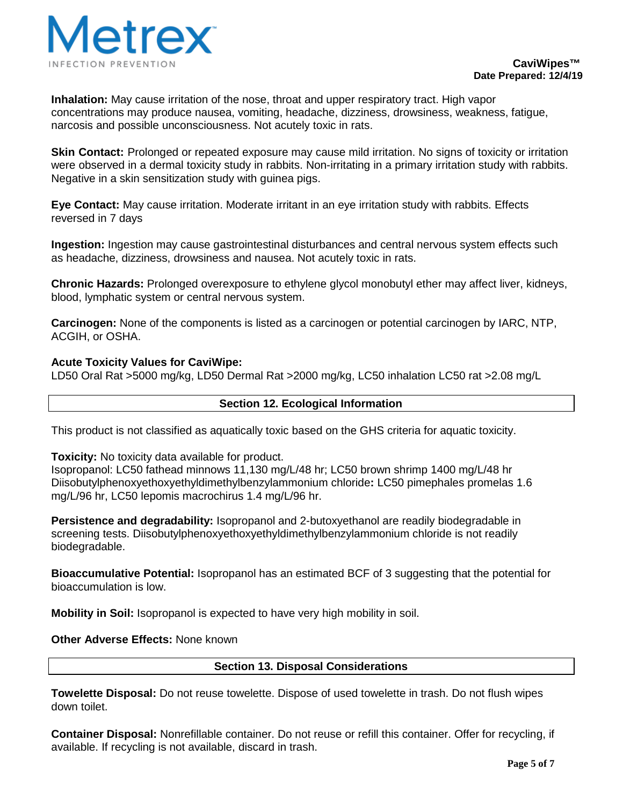

**Inhalation:** May cause irritation of the nose, throat and upper respiratory tract. High vapor concentrations may produce nausea, vomiting, headache, dizziness, drowsiness, weakness, fatigue, narcosis and possible unconsciousness. Not acutely toxic in rats.

**Skin Contact:** Prolonged or repeated exposure may cause mild irritation. No signs of toxicity or irritation were observed in a dermal toxicity study in rabbits. Non-irritating in a primary irritation study with rabbits. Negative in a skin sensitization study with guinea pigs.

**Eye Contact:** May cause irritation. Moderate irritant in an eye irritation study with rabbits. Effects reversed in 7 days

**Ingestion:** Ingestion may cause gastrointestinal disturbances and central nervous system effects such as headache, dizziness, drowsiness and nausea. Not acutely toxic in rats.

**Chronic Hazards:** Prolonged overexposure to ethylene glycol monobutyl ether may affect liver, kidneys, blood, lymphatic system or central nervous system.

**Carcinogen:** None of the components is listed as a carcinogen or potential carcinogen by IARC, NTP, ACGIH, or OSHA.

### **Acute Toxicity Values for CaviWipe:**

LD50 Oral Rat >5000 mg/kg, LD50 Dermal Rat >2000 mg/kg, LC50 inhalation LC50 rat >2.08 mg/L

## **Section 12. Ecological Information**

This product is not classified as aquatically toxic based on the GHS criteria for aquatic toxicity.

**Toxicity:** No toxicity data available for product.

Isopropanol: LC50 fathead minnows 11,130 mg/L/48 hr; LC50 brown shrimp 1400 mg/L/48 hr Diisobutylphenoxyethoxyethyldimethylbenzylammonium chloride**:** LC50 pimephales promelas 1.6 mg/L/96 hr, LC50 lepomis macrochirus 1.4 mg/L/96 hr.

**Persistence and degradability:** Isopropanol and 2-butoxyethanol are readily biodegradable in screening tests. Diisobutylphenoxyethoxyethyldimethylbenzylammonium chloride is not readily biodegradable.

**Bioaccumulative Potential:** Isopropanol has an estimated BCF of 3 suggesting that the potential for bioaccumulation is low.

**Mobility in Soil:** Isopropanol is expected to have very high mobility in soil.

**Other Adverse Effects:** None known

### **Section 13. Disposal Considerations**

**Towelette Disposal:** Do not reuse towelette. Dispose of used towelette in trash. Do not flush wipes down toilet.

**Container Disposal:** Nonrefillable container. Do not reuse or refill this container. Offer for recycling, if available. If recycling is not available, discard in trash.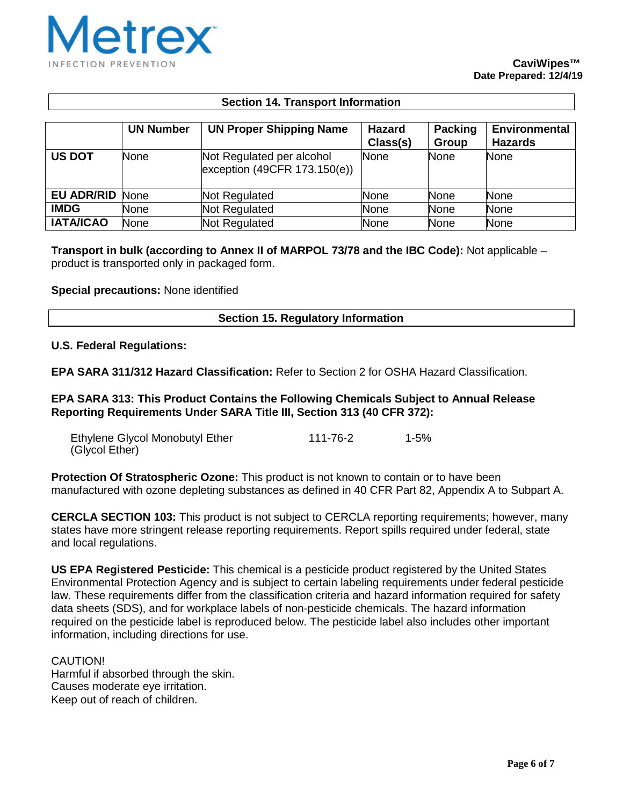

## **Section 14. Transport Information**

|                        | <b>UN Number</b> | <b>UN Proper Shipping Name</b>                              | <b>Hazard</b><br>Class(s) | <b>Packing</b><br>Group | <b>Environmental</b><br><b>Hazards</b> |
|------------------------|------------------|-------------------------------------------------------------|---------------------------|-------------------------|----------------------------------------|
| <b>US DOT</b>          | <b>None</b>      | Not Regulated per alcohol<br>exception $(49CFR 173.150(e))$ | None                      | <b>None</b>             | <b>None</b>                            |
| <b>EU ADR/RID None</b> |                  | Not Regulated                                               | None                      | <b>None</b>             | None                                   |
| <b>IMDG</b>            | None             | Not Regulated                                               | None                      | None                    | None                                   |
| <b>IATA/ICAO</b>       | <b>None</b>      | Not Regulated                                               | <b>None</b>               | <b>None</b>             | None                                   |

**Transport in bulk (according to Annex II of MARPOL 73/78 and the IBC Code):** Not applicable – product is transported only in packaged form.

#### **Special precautions:** None identified

#### **Section 15. Regulatory Information**

#### **U.S. Federal Regulations:**

**EPA SARA 311/312 Hazard Classification:** Refer to Section 2 for OSHA Hazard Classification.

**EPA SARA 313: This Product Contains the Following Chemicals Subject to Annual Release Reporting Requirements Under SARA Title III, Section 313 (40 CFR 372):**

| Ethylene Glycol Monobutyl Ether | 111-76-2 | $1 - 5%$ |
|---------------------------------|----------|----------|
| (Glycol Ether)                  |          |          |

**Protection Of Stratospheric Ozone:** This product is not known to contain or to have been manufactured with ozone depleting substances as defined in 40 CFR Part 82, Appendix A to Subpart A.

**CERCLA SECTION 103:** This product is not subject to CERCLA reporting requirements; however, many states have more stringent release reporting requirements. Report spills required under federal, state and local regulations.

**US EPA Registered Pesticide:** This chemical is a pesticide product registered by the United States Environmental Protection Agency and is subject to certain labeling requirements under federal pesticide law. These requirements differ from the classification criteria and hazard information required for safety data sheets (SDS), and for workplace labels of non-pesticide chemicals. The hazard information required on the pesticide label is reproduced below. The pesticide label also includes other important information, including directions for use.

CAUTION! Harmful if absorbed through the skin. Causes moderate eye irritation. Keep out of reach of children.